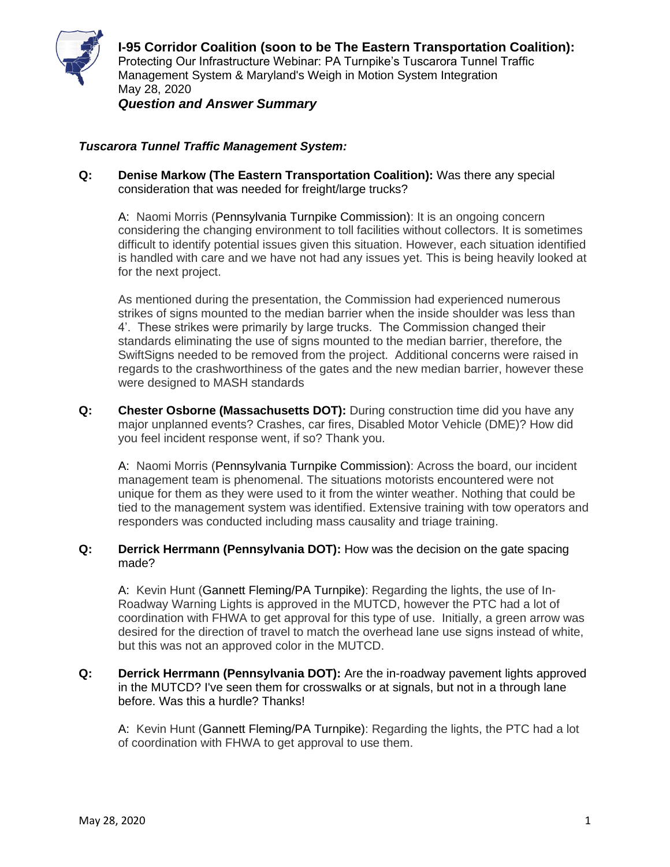

## *Tuscarora Tunnel Traffic Management System:*

**Q: Denise Markow (The Eastern Transportation Coalition):** Was there any special consideration that was needed for freight/large trucks?

A: Naomi Morris (Pennsylvania Turnpike Commission): It is an ongoing concern considering the changing environment to toll facilities without collectors. It is sometimes difficult to identify potential issues given this situation. However, each situation identified is handled with care and we have not had any issues yet. This is being heavily looked at for the next project.

As mentioned during the presentation, the Commission had experienced numerous strikes of signs mounted to the median barrier when the inside shoulder was less than 4'. These strikes were primarily by large trucks. The Commission changed their standards eliminating the use of signs mounted to the median barrier, therefore, the SwiftSigns needed to be removed from the project. Additional concerns were raised in regards to the crashworthiness of the gates and the new median barrier, however these were designed to MASH standards

**Q: Chester Osborne (Massachusetts DOT):** During construction time did you have any major unplanned events? Crashes, car fires, Disabled Motor Vehicle (DME)? How did you feel incident response went, if so? Thank you.

A: Naomi Morris (Pennsylvania Turnpike Commission): Across the board, our incident management team is phenomenal. The situations motorists encountered were not unique for them as they were used to it from the winter weather. Nothing that could be tied to the management system was identified. Extensive training with tow operators and responders was conducted including mass causality and triage training.

## **Q: Derrick Herrmann (Pennsylvania DOT):** How was the decision on the gate spacing made?

A: Kevin Hunt (Gannett Fleming/PA Turnpike): Regarding the lights, the use of In-Roadway Warning Lights is approved in the MUTCD, however the PTC had a lot of coordination with FHWA to get approval for this type of use. Initially, a green arrow was desired for the direction of travel to match the overhead lane use signs instead of white, but this was not an approved color in the MUTCD.

**Q: Derrick Herrmann (Pennsylvania DOT):** Are the in-roadway pavement lights approved in the MUTCD? I've seen them for crosswalks or at signals, but not in a through lane before. Was this a hurdle? Thanks!

A: Kevin Hunt (Gannett Fleming/PA Turnpike): Regarding the lights, the PTC had a lot of coordination with FHWA to get approval to use them.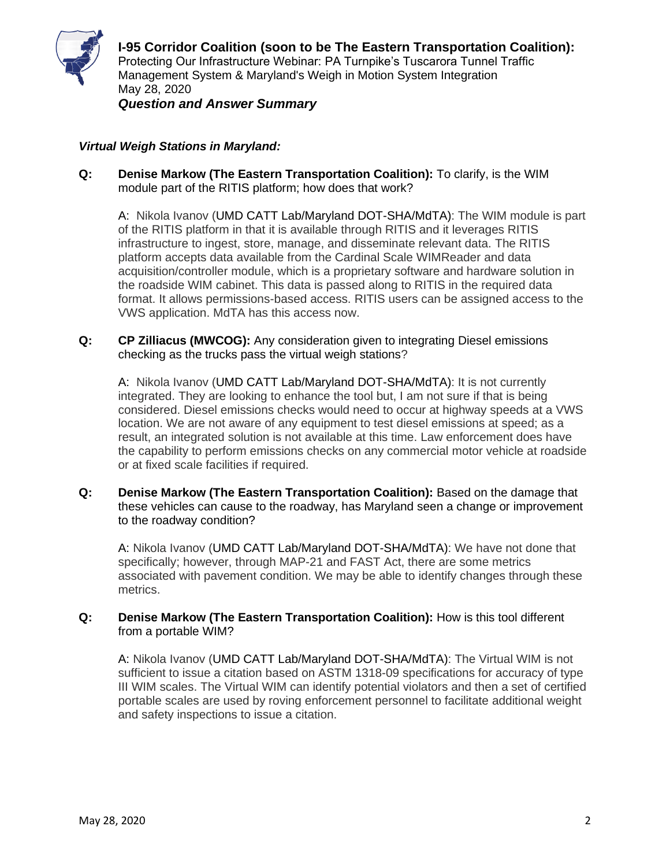

## *Virtual Weigh Stations in Maryland:*

**Q: Denise Markow (The Eastern Transportation Coalition):** To clarify, is the WIM module part of the RITIS platform; how does that work?

A: Nikola Ivanov (UMD CATT Lab/Maryland DOT-SHA/MdTA): The WIM module is part of the RITIS platform in that it is available through RITIS and it leverages RITIS infrastructure to ingest, store, manage, and disseminate relevant data. The RITIS platform accepts data available from the Cardinal Scale WIMReader and data acquisition/controller module, which is a proprietary software and hardware solution in the roadside WIM cabinet. This data is passed along to RITIS in the required data format. It allows permissions-based access. RITIS users can be assigned access to the VWS application. MdTA has this access now.

**Q: CP Zilliacus (MWCOG):** Any consideration given to integrating Diesel emissions checking as the trucks pass the virtual weigh stations?

A: Nikola Ivanov (UMD CATT Lab/Maryland DOT-SHA/MdTA): It is not currently integrated. They are looking to enhance the tool but, I am not sure if that is being considered. Diesel emissions checks would need to occur at highway speeds at a VWS location. We are not aware of any equipment to test diesel emissions at speed; as a result, an integrated solution is not available at this time. Law enforcement does have the capability to perform emissions checks on any commercial motor vehicle at roadside or at fixed scale facilities if required.

**Q: Denise Markow (The Eastern Transportation Coalition):** Based on the damage that these vehicles can cause to the roadway, has Maryland seen a change or improvement to the roadway condition?

A: Nikola Ivanov (UMD CATT Lab/Maryland DOT-SHA/MdTA): We have not done that specifically; however, through MAP-21 and FAST Act, there are some metrics associated with pavement condition. We may be able to identify changes through these metrics.

## **Q: Denise Markow (The Eastern Transportation Coalition):** How is this tool different from a portable WIM?

A: Nikola Ivanov (UMD CATT Lab/Maryland DOT-SHA/MdTA): The Virtual WIM is not sufficient to issue a citation based on ASTM 1318-09 specifications for accuracy of type III WIM scales. The Virtual WIM can identify potential violators and then a set of certified portable scales are used by roving enforcement personnel to facilitate additional weight and safety inspections to issue a citation.